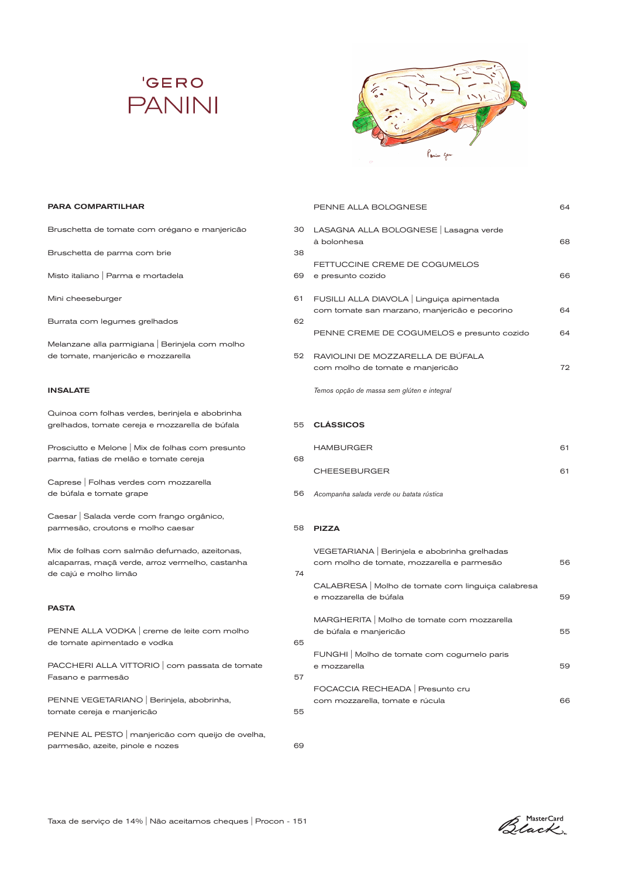



### PARA COMPARTILHAR

| Bruschetta de tomate com orégano e manjericão                                                                              | 30 | LAS<br>à b                   |
|----------------------------------------------------------------------------------------------------------------------------|----|------------------------------|
| Bruschetta de parma com brie                                                                                               | 38 |                              |
| Misto italiano   Parma e mortadela                                                                                         | 69 | FE <sup>-</sup><br>e p       |
| Mini cheeseburger                                                                                                          | 61 | FU.                          |
| Burrata com legumes grelhados                                                                                              | 62 | cor                          |
| Melanzane alla parmigiana   Berinjela com molho<br>de tomate, manjericão e mozzarella                                      | 52 | PEI<br>RA'<br>cor            |
| <b>INSALATE</b>                                                                                                            |    | Tem                          |
| Quinoa com folhas verdes, berinjela e abobrinha<br>grelhados, tomate cereja e mozzarella de búfala                         | 55 | <b>CL</b>                    |
| Prosciutto e Melone   Mix de folhas com presunto<br>parma, fatias de melão e tomate cereja                                 | 68 | HА                           |
| Caprese   Folhas verdes com mozzarella<br>de búfala e tomate grape                                                         | 56 | CH<br>Aco                    |
| Caesar   Salada verde com frango orgânico,<br>parmesão, croutons e molho caesar                                            | 58 | <b>PIZ</b>                   |
| Mix de folhas com salmão defumado, azeitonas,<br>alcaparras, maçã verde, arroz vermelho, castanha<br>de cajú e molho limão | 74 | VE <sub>®</sub><br>cor<br>CA |
| <b>PASTA</b>                                                                                                               |    | e m                          |
| PENNE ALLA VODKA   creme de leite com molho<br>de tomate apimentado e vodka                                                | 65 | МA<br>de<br>FUI              |
| PACCHERI ALLA VITTORIO   com passata de tomate<br>Fasano e parmesão                                                        | 57 | e m                          |
| PENNE VEGETARIANO   Berinjela, abobrinha,<br>tomate cereja e manjericão                                                    | 55 | FO<br>cor                    |
| PENNE AL PESTO   manjericão com queijo de ovelha,<br>parmesão, azeite, pinole e nozes                                      | 69 |                              |

|        | PENNE ALLA BOLOGNESE                                                                      | 64. |
|--------|-------------------------------------------------------------------------------------------|-----|
| O<br>R | LASAGNA ALLA BOLOGNESE   Lasagna verde<br>à bolonhesa                                     | 68  |
| 9      | FETTUCCINE CREME DE COGUMELOS<br>e presunto cozido                                        | 66  |
| 1      | FUSILLI ALLA DIAVOLA Linguiça apimentada<br>com tomate san marzano, manjericão e pecorino | 64  |
|        | PENNE CREME DE COGUMELOS e presunto cozido                                                | 64  |
| 2      | RAVIOLINI DE MOZZARELLA DE BÚFALA<br>com molho de tomate e manjericão                     | 72  |
|        | Temos opção de massa sem glúten e integral                                                |     |
| 5      | <b>CLÁSSICOS</b>                                                                          |     |

| <b>HAMBURGER</b>    | 61 |
|---------------------|----|
| <b>CHEESEBURGER</b> | 61 |

*Acompanha salada verde ou batata rústica*

### ZZA

|   | VEGETARIANA Berinjela e abobrinha grelhadas<br>com molho de tomate, mozzarella e parmesão | 56  |
|---|-------------------------------------------------------------------------------------------|-----|
| 4 | CALABRESA   Molho de tomate com linguiça calabresa<br>e mozzarella de búfala              | 59  |
|   | MARGHERITA   Molho de tomate com mozzarella<br>de búfala e manjericão                     | 55. |
|   | FUNGHI   Molho de tomate com cogumelo paris<br>e mozzarella                               | 59  |
|   | FOCACCIA RECHEADA   Presunto cru<br>com mozzarella, tomate e rúcula                       | 66  |

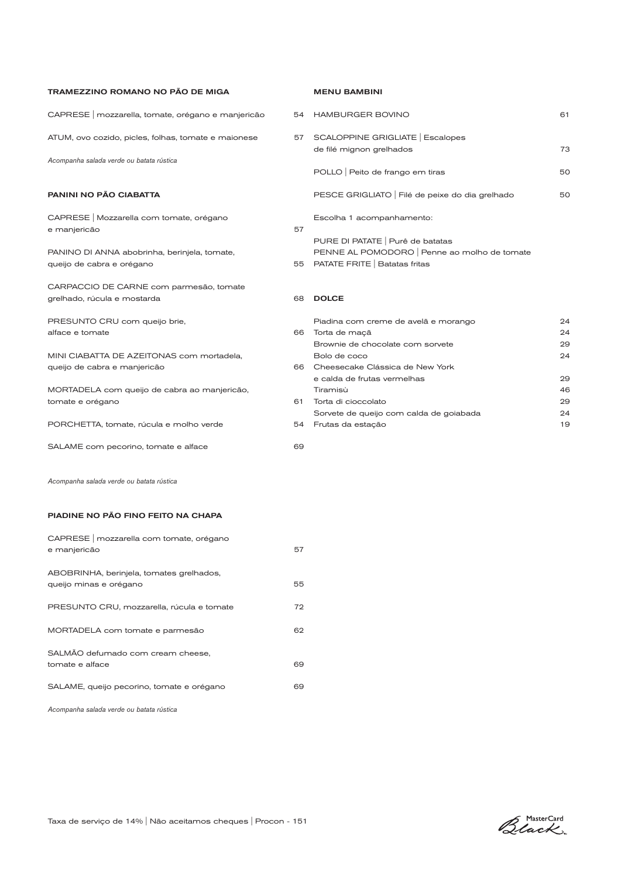| <b>TRAMEZZINO ROMANO NO PÃO DE MIGA</b>                                   |          | <b>MENU BAMBINI</b>                                                                                             |                |
|---------------------------------------------------------------------------|----------|-----------------------------------------------------------------------------------------------------------------|----------------|
| CAPRESE   mozzarella, tomate, orégano e manjericão                        | 54       | <b>HAMBURGER BOVINO</b>                                                                                         | 61             |
| ATUM, ovo cozido, picles, folhas, tomate e maionese                       | 57       | SCALOPPINE GRIGLIATE   Escalopes<br>de filé mignon grelhados                                                    | 73             |
| Acompanha salada verde ou batata rústica                                  |          | POLLO   Peito de frango em tiras                                                                                | 50             |
| <b>PANINI NO PÃO CIABATTA</b>                                             |          | PESCE GRIGLIATO   Filé de peixe do dia grelhado                                                                 | 50             |
| CAPRESE   Mozzarella com tomate, orégano<br>e manjericão                  | 57       | Escolha 1 acompanhamento:                                                                                       |                |
| PANINO DI ANNA abobrinha, berinjela, tomate,<br>queijo de cabra e orégano | 55       | PURE DI PATATE   Purê de batatas<br>PENNE AL POMODORO Penne ao molho de tomate<br>PATATE FRITE   Batatas fritas |                |
| CARPACCIO DE CARNE com parmesão, tomate<br>grelhado, rúcula e mostarda    | 68       | <b>DOLCE</b>                                                                                                    |                |
| PRESUNTO CRU com queijo brie,<br>alface e tomate                          | 66       | Piadina com creme de avelã e morango<br>Torta de maçã                                                           | 24<br>24       |
| MINI CIABATTA DE AZEITONAS com mortadela.<br>queijo de cabra e manjericão | 66       | Brownie de chocolate com sorvete<br>Bolo de coco<br>Cheesecake Clássica de New York                             | 29<br>24       |
| MORTADELA com queijo de cabra ao manjericão,                              |          | e calda de frutas vermelhas<br>Tiramisù                                                                         | 29<br>46       |
| tomate e orégano<br>PORCHETTA, tomate, rúcula e molho verde               | 61<br>54 | Torta di cioccolato<br>Sorvete de queijo com calda de goiabada<br>Frutas da estação                             | 29<br>24<br>19 |
| SALAME com pecorino, tomate e alface                                      | 69       |                                                                                                                 |                |
| Acompanha salada verde ou batata rústica                                  |          |                                                                                                                 |                |

### MENU BAMBINI

| 4              | <b>HAMBURGER BOVINO</b>                                                                                           | 61                   |
|----------------|-------------------------------------------------------------------------------------------------------------------|----------------------|
| $\overline{7}$ | SCALOPPINE GRIGLIATE   Escalopes<br>de filé mignon grelhados                                                      | 73                   |
|                | POLLO   Peito de frango em tiras                                                                                  | 50                   |
|                | PESCE GRIGLIATO   Filé de peixe do dia grelhado                                                                   | 50                   |
| 7              | Escolha 1 acompanhamento:                                                                                         |                      |
| 5              | PURE DI PATATE   Purê de batatas<br>PENNE AL POMODORO   Penne ao molho de tomate<br>PATATE FRITE   Batatas fritas |                      |
| 8              | <b>DOLCE</b>                                                                                                      |                      |
| 6              | Piadina com creme de avelã e morango<br>Torta de maçã<br>Brownie de chocolate com sorvete<br>Bolo de coco         | 24<br>24<br>29<br>24 |
| 6              | Cheesecake Clássica de New York                                                                                   |                      |
|                | e calda de frutas vermelhas                                                                                       | 29                   |
|                | Tiramisù                                                                                                          | 46                   |

### PIADINE NO PÃO FINO FEITO NA CHAPA

| CAPRESE   mozzarella com tomate, orégano<br>e manjericão           | 57 |
|--------------------------------------------------------------------|----|
| ABOBRINHA, berinjela, tomates grelhados,<br>queijo minas e orégano | 55 |
| PRESUNTO CRU, mozzarella, rúcula e tomate                          | 72 |
| MORTADELA com tomate e parmesão                                    | 62 |
| SALMÃO defumado com cream cheese,<br>tomate e alface               | 69 |
| SALAME, queijo pecorino, tomate e orégano                          | 69 |

*Acompanha salada verde ou batata rústica*

Black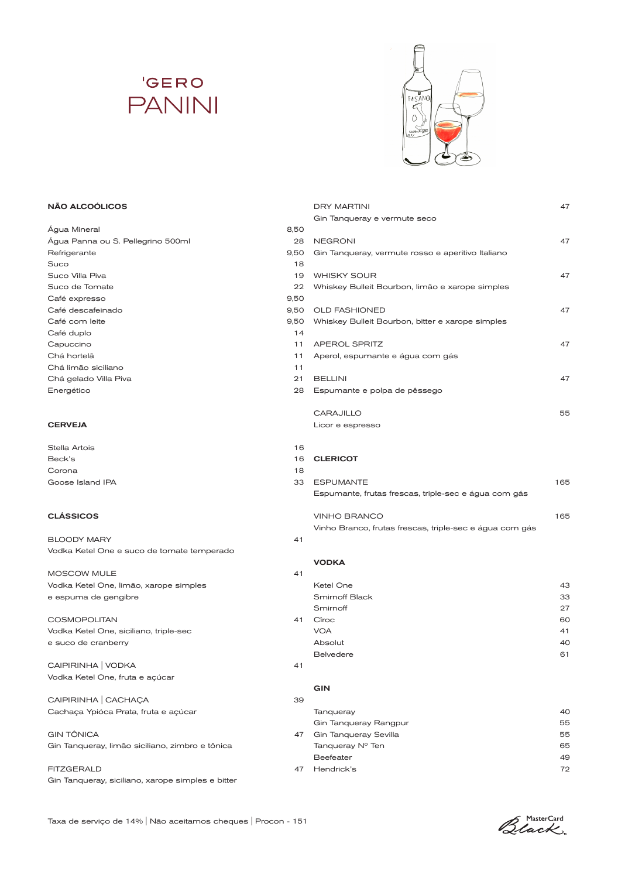# **'GERO PANINI**



DRY MARTINI 47

### NÃO ALCOÓLICOS

|                                                   |      | Gin Tanqueray e vermute seco                            |     |
|---------------------------------------------------|------|---------------------------------------------------------|-----|
| Água Mineral                                      | 8,50 |                                                         |     |
| Água Panna ou S. Pellegrino 500ml                 | 28   | <b>NEGRONI</b>                                          | 47  |
| Refrigerante                                      | 9,50 | Gin Tanqueray, vermute rosso e aperitivo Italiano       |     |
| Suco                                              | 18   |                                                         |     |
| Suco Villa Piva                                   | 19   | <b>WHISKY SOUR</b>                                      | 47  |
| Suco de Tomate                                    | 22   | Whiskey Bulleit Bourbon, limão e xarope simples         |     |
| Café expresso                                     | 9,50 |                                                         |     |
| Café descafeinado                                 | 9,50 | <b>OLD FASHIONED</b>                                    | 47  |
| Café com leite                                    | 9,50 | Whiskey Bulleit Bourbon, bitter e xarope simples        |     |
| Café duplo                                        | 14   |                                                         |     |
| Capuccino                                         | 11   | <b>APEROL SPRITZ</b>                                    | 47  |
| Chá hortelã                                       | 11   | Aperol, espumante e água com gás                        |     |
| Chá limão siciliano                               | 11   |                                                         |     |
| Chá gelado Villa Piva                             | 21   | <b>BELLINI</b>                                          | 47  |
| Energético                                        | 28   | Espumante e polpa de pêssego                            |     |
|                                                   |      | <b>CARAJILLO</b>                                        | 55  |
| <b>CERVEJA</b>                                    |      | Licor e espresso                                        |     |
| Stella Artois                                     | 16   |                                                         |     |
| Beck's                                            | 16   | <b>CLERICOT</b>                                         |     |
| Corona                                            | 18   |                                                         |     |
| Goose Island IPA                                  | 33   | <b>ESPUMANTE</b>                                        | 165 |
|                                                   |      | Espumante, frutas frescas, triple-sec e água com gás    |     |
| <b>CLÁSSICOS</b>                                  |      | <b>VINHO BRANCO</b>                                     | 165 |
|                                                   |      | Vinho Branco, frutas frescas, triple-sec e água com gás |     |
| <b>BLOODY MARY</b>                                | 41   |                                                         |     |
| Vodka Ketel One e suco de tomate temperado        |      |                                                         |     |
|                                                   |      | <b>VODKA</b>                                            |     |
| <b>MOSCOW MULE</b>                                | 41   |                                                         |     |
| Vodka Ketel One, limão, xarope simples            |      | Ketel One                                               | 43  |
| e espuma de gengibre                              |      | <b>Smirnoff Black</b>                                   | 33  |
|                                                   |      | Smirnoff                                                | 27  |
| <b>COSMOPOLITAN</b>                               | 41   | Cîroc                                                   | 60  |
| Vodka Ketel One, siciliano, triple-sec            |      | <b>VOA</b>                                              | 41  |
| e suco de cranberry                               |      | Absolut                                                 | 40  |
|                                                   |      | <b>Belvedere</b>                                        | 61  |
| CAIPIRINHA   VODKA                                | 41   |                                                         |     |
| Vodka Ketel One, fruta e açúcar                   |      |                                                         |     |
|                                                   |      | <b>GIN</b>                                              |     |
| CAIPIRINHA   CACHAÇA                              | 39   |                                                         |     |
| Cachaça Ypióca Prata, fruta e açúcar              |      | Tanqueray                                               | 40  |
|                                                   |      | Gin Tanqueray Rangpur                                   | 55  |
| <b>GIN TÔNICA</b>                                 | 47   | Gin Tanqueray Sevilla                                   | 55  |
| Gin Tanqueray, limão siciliano, zimbro e tônica   |      | Tanqueray Nº Ten                                        | 65  |
|                                                   |      | <b>Beefeater</b>                                        | 49  |
| <b>FITZGERALD</b>                                 | 47   | Hendrick's                                              | 72  |
| Gin Tanqueray, siciliano, xarope simples e bitter |      |                                                         |     |

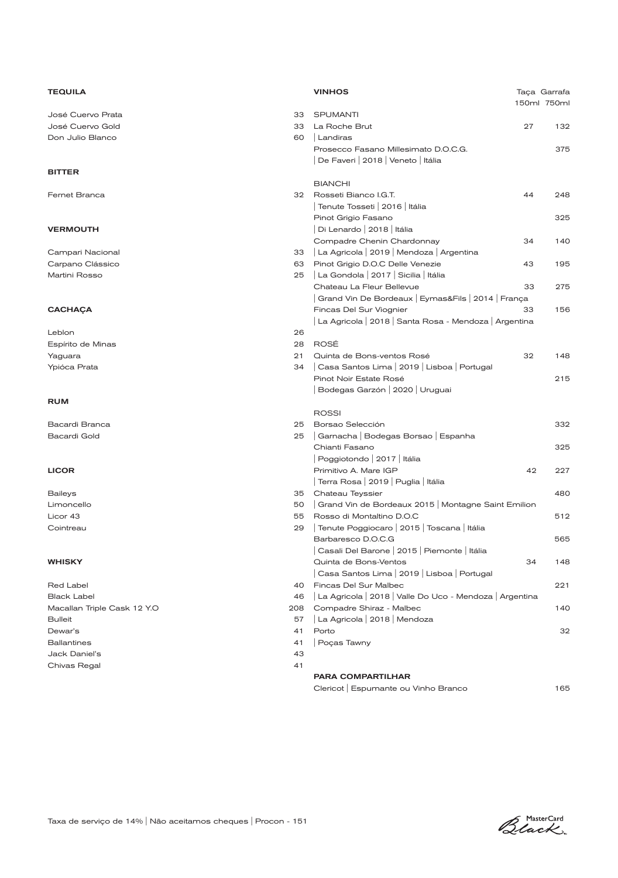| <b>TEQUILA</b>              |     | <b>VINHOS</b>                                           |    | Taça Garrafa<br>150ml 750ml |
|-----------------------------|-----|---------------------------------------------------------|----|-----------------------------|
| José Cuervo Prata           | 33  | <b>SPUMANTI</b>                                         |    |                             |
| José Cuervo Gold            | 33  | La Roche Brut                                           | 27 | 132                         |
| Don Julio Blanco            | 60  | Landiras                                                |    |                             |
|                             |     | Prosecco Fasano Millesimato D.O.C.G.                    |    | 375                         |
|                             |     | De Faveri   2018   Veneto   Itália                      |    |                             |
| <b>BITTER</b>               |     |                                                         |    |                             |
|                             |     | <b>BIANCHI</b>                                          |    |                             |
| Fernet Branca               | 32  | Rosseti Bianco I.G.T.                                   | 44 | 248                         |
|                             |     | Tenute Tosseti   2016   Itália                          |    |                             |
|                             |     | Pinot Grigio Fasano                                     |    | 325                         |
| <b>VERMOUTH</b>             |     | Di Lenardo   2018   Itália                              |    |                             |
|                             |     | Compadre Chenin Chardonnay                              | 34 | 140                         |
| Campari Nacional            | 33  | La Agricola   2019   Mendoza   Argentina                |    |                             |
| Carpano Clássico            | 63  | Pinot Grigio D.O.C Delle Venezie                        | 43 | 195                         |
| Martini Rosso               | 25  | La Gondola   2017   Sicilia   Itália                    |    |                             |
|                             |     | Chateau La Fleur Bellevue                               | 33 | 275                         |
|                             |     | Grand Vin De Bordeaux   Eymas&Fils   2014   França      |    |                             |
| <b>CACHAÇA</b>              |     | Fincas Del Sur Viognier                                 | 33 | 156                         |
|                             |     | La Agricola   2018   Santa Rosa - Mendoza   Argentina   |    |                             |
| Leblon                      | 26  |                                                         |    |                             |
| Espírito de Minas           | 28  | <b>ROSÉ</b>                                             |    |                             |
| Yaguara                     | 21  | Quinta de Bons-ventos Rosé                              | 32 | 148                         |
| Ypióca Prata                | 34  | Casa Santos Lima   2019   Lisboa   Portugal             |    |                             |
|                             |     | Pinot Noir Estate Rosé                                  |    | 215                         |
|                             |     | Bodegas Garzón   2020   Uruguai                         |    |                             |
| <b>RUM</b>                  |     | <b>ROSSI</b>                                            |    |                             |
| Bacardi Branca              | 25  | Borsao Selección                                        |    | 332                         |
| <b>Bacardi Gold</b>         | 25  | Garnacha   Bodegas Borsao   Espanha                     |    |                             |
|                             |     | Chianti Fasano                                          |    | 325                         |
|                             |     | Poggiotondo   2017   Itália                             |    |                             |
| <b>LICOR</b>                |     | Primitivo A. Mare IGP                                   | 42 | 227                         |
|                             |     | Terra Rosa   2019   Puglia   Itália                     |    |                             |
| <b>Baileys</b>              | 35  | Chateau Teyssier                                        |    | 480                         |
| Limoncello                  | 50  | Grand Vin de Bordeaux 2015   Montagne Saint Emilion     |    |                             |
| Licor 43                    | 55  | Rosso di Montaltino D.O.C                               |    | 512                         |
| Cointreau                   | 29  | Tenute Poggiocaro   2015   Toscana   Itália             |    |                             |
|                             |     | Barbaresco D.O.C.G                                      |    | 565                         |
|                             |     | Casali Del Barone   2015   Piemonte   Itália            |    |                             |
| <b>WHISKY</b>               |     | Quinta de Bons-Ventos                                   | 34 | 148                         |
|                             |     | Casa Santos Lima   2019   Lisboa   Portugal             |    |                             |
| Red Label                   | 40  | Fincas Del Sur Malbec                                   |    | 221                         |
| <b>Black Label</b>          | 46  | La Agricola   2018   Valle Do Uco - Mendoza   Argentina |    |                             |
| Macallan Triple Cask 12 Y.O | 208 | Compadre Shiraz - Malbec                                |    | 140                         |
| <b>Bulleit</b>              | 57  | La Agricola   2018   Mendoza                            |    |                             |
| Dewar's                     | 41  | Porto                                                   |    | 32                          |
| <b>Ballantines</b>          | 41  | Poças Tawny                                             |    |                             |
| Jack Daniel's               | 43  |                                                         |    |                             |
| Chivas Regal                | 41  |                                                         |    |                             |
|                             |     | <b>PARA COMPARTILHAR</b>                                |    |                             |
|                             |     | Clericot   Espumante ou Vinho Branco                    |    | 165                         |

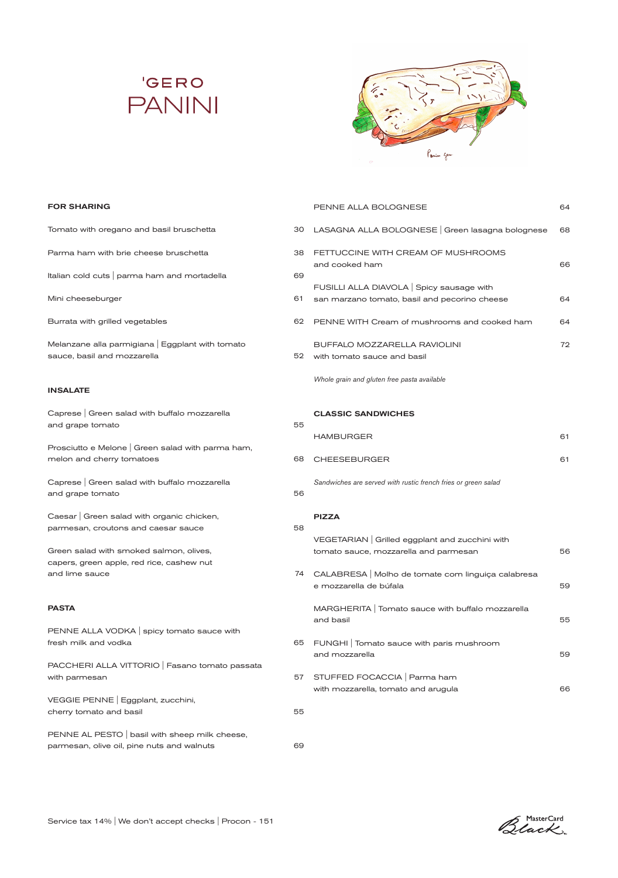



PENNE ALLA BOLOGNESE 64

### FOR SHARING

| Tomato with oregano and basil bruschetta                    | 30 | LASAGNA ALLA BOLOGNESE Green lasagna bolognese                                  | 68 |
|-------------------------------------------------------------|----|---------------------------------------------------------------------------------|----|
| Parma ham with brie cheese bruschetta                       | 38 | FETTUCCINE WITH CREAM OF MUSHROOMS<br>and cooked ham                            | 66 |
| Italian cold cuts   parma ham and mortadella                | 69 |                                                                                 |    |
|                                                             |    | FUSILLI ALLA DIAVOLA Spicy sausage with                                         |    |
| Mini cheeseburger                                           | 61 | san marzano tomato, basil and pecorino cheese                                   | 64 |
| Burrata with grilled vegetables                             | 62 | PENNE WITH Cream of mushrooms and cooked ham                                    | 64 |
| Melanzane alla parmigiana   Eggplant with tomato            |    | BUFFALO MOZZARELLA RAVIOLINI                                                    | 72 |
| sauce, basil and mozzarella                                 | 52 | with tomato sauce and basil                                                     |    |
|                                                             |    | Whole grain and gluten free pasta available                                     |    |
| <b>INSALATE</b>                                             |    |                                                                                 |    |
| Caprese   Green salad with buffalo mozzarella               |    | <b>CLASSIC SANDWICHES</b>                                                       |    |
| and grape tomato                                            | 55 |                                                                                 |    |
| Prosciutto e Melone   Green salad with parma ham,           |    | <b>HAMBURGER</b>                                                                | 61 |
| melon and cherry tomatoes                                   | 68 | <b>CHEESEBURGER</b>                                                             | 61 |
| Caprese   Green salad with buffalo mozzarella               |    | Sandwiches are served with rustic french fries or green salad                   |    |
| and grape tomato                                            | 56 |                                                                                 |    |
| Caesar   Green salad with organic chicken,                  |    |                                                                                 |    |
| parmesan, croutons and caesar sauce                         | 58 | <b>PIZZA</b>                                                                    |    |
|                                                             |    | VEGETARIAN Grilled eggplant and zucchini with                                   |    |
| Green salad with smoked salmon, olives,                     |    | tomato sauce, mozzarella and parmesan                                           | 56 |
| capers, green apple, red rice, cashew nut<br>and lime sauce |    | 74 CALABRESA   Molho de tomate com linguiça calabresa<br>e mozzarella de búfala | 59 |
| <b>PASTA</b>                                                |    | MARGHERITA   Tomato sauce with buffalo mozzarella<br>and basil                  | 55 |
| PENNE ALLA VODKA spicy tomato sauce with                    |    |                                                                                 |    |
| fresh milk and vodka                                        | 65 | FUNGHI   Tomato sauce with paris mushroom                                       |    |
| PACCHERI ALLA VITTORIO   Fasano tomato passata              |    | and mozzarella                                                                  | 59 |
| with parmesan                                               | 57 | STUFFED FOCACCIA   Parma ham                                                    |    |
|                                                             |    | with mozzarella, tomato and arugula                                             | 66 |
| VEGGIE PENNE   Eggplant, zucchini,                          | 55 |                                                                                 |    |
| cherry tomato and basil                                     |    |                                                                                 |    |
| PENNE AL PESTO   basil with sheep milk cheese,              |    |                                                                                 |    |
| parmesan, olive oil, pine nuts and walnuts                  | 69 |                                                                                 |    |

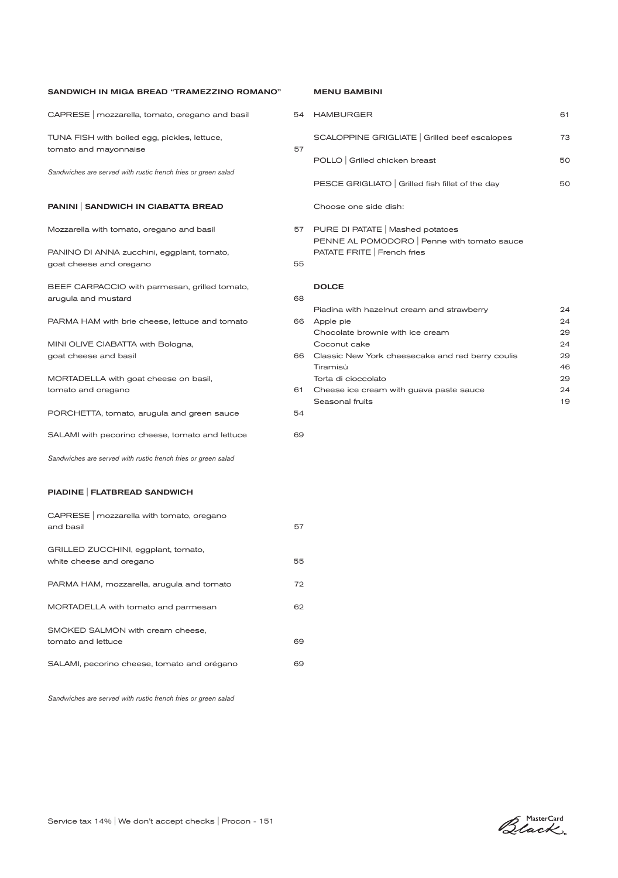| SANDWICH IN MIGA BREAD "TRAMEZZINO ROMANO"                            |    |
|-----------------------------------------------------------------------|----|
| CAPRESE   mozzarella, tomato, oregano and basil                       | 54 |
| TUNA FISH with boiled egg, pickles, lettuce,<br>tomato and mayonnaise | 57 |
| Sandwiches are served with rustic french fries or green salad         |    |
| PANINI SANDWICH IN CIABATTA BREAD                                     |    |
| Mozzarella with tomato, oregano and basil                             | 57 |
| PANINO DI ANNA zucchini, eggplant, tomato,<br>goat cheese and oregano | 55 |
| BEEF CARPACCIO with parmesan, grilled tomato,<br>arugula and mustard  | 68 |
| PARMA HAM with brie cheese, lettuce and tomato                        | 66 |
| MINI OLIVE CIABATTA with Bologna,<br>goat cheese and basil            | 66 |
| MORTADELLA with goat cheese on basil,<br>tomato and oregano           | 61 |
| PORCHETTA, tomato, arugula and green sauce                            | 54 |
| SALAMI with pecorino cheese, tomato and lettuce                       | 69 |
| Sandwiches are served with rustic french fries or green salad         |    |
| PIADINE   FLATBREAD SANDWICH                                          |    |
| CAPRESE   mozzarella with tomato, oregano<br>and basil                | 57 |
| GRILLED ZUCCHINI, eggplant, tomato,                                   |    |

white cheese and oregano **55** 

PARMA HAM, mozzarella, arugula and tomato 72

MORTADELLA with tomato and parmesan 62

tomato and lettuce 69

SALAMI, pecorino cheese, tomato and orégano 69

# MENU BAMBINI

| HAMBURGER                                                                                                      | 61 |
|----------------------------------------------------------------------------------------------------------------|----|
| SCALOPPINE GRIGLIATE Grilled beef escalopes                                                                    | 73 |
| POLLO Grilled chicken breast                                                                                   | 50 |
| PESCE GRIGLIATO Grilled fish fillet of the day                                                                 | 50 |
| Choose one side dish:                                                                                          |    |
| PURE DI PATATE   Mashed potatoes<br>PENNE AL POMODORO   Penne with tomato sauce<br>PATATE FRITE   French fries |    |
|                                                                                                                |    |
| <b>DOLCE</b>                                                                                                   |    |

|    | Piadina with hazelnut cream and strawberry       | 24 |
|----|--------------------------------------------------|----|
| 3  | Apple pie                                        | 24 |
|    | Chocolate brownie with ice cream                 | 29 |
|    | Coconut cake                                     | 24 |
|    | Classic New York cheesecake and red berry coulis | 29 |
|    | Tiramisù                                         | 46 |
|    | Torta di cioccolato                              | 29 |
| 1. | Cheese ice cream with guava paste sauce          | 24 |
|    | Seasonal fruits                                  | 19 |
|    |                                                  |    |

*Sandwiches are served with rustic french fries or green salad*

SMOKED SALMON with cream cheese,

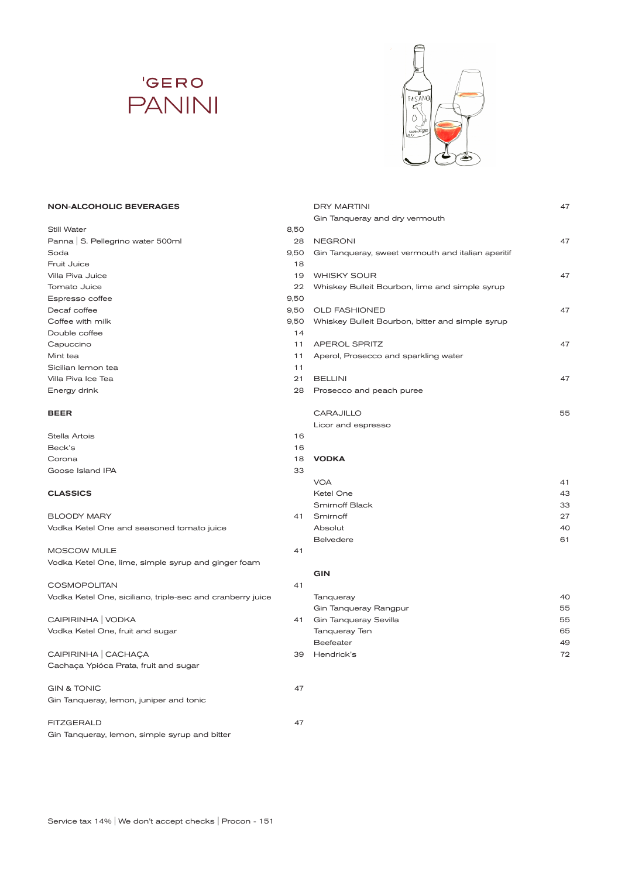# **'GERO PANINI**



DRY MARTINI 47

Gin Tanqueray and dry vermouth

#### NON-ALCOHOLIC BEVERAGES

| Still Water                                                | 8,50 |                                                    |    |
|------------------------------------------------------------|------|----------------------------------------------------|----|
| Panna   S. Pellegrino water 500ml                          | 28   | <b>NEGRONI</b>                                     | 47 |
| Soda                                                       | 9,50 | Gin Tanqueray, sweet vermouth and italian aperitif |    |
| Fruit Juice                                                | 18   |                                                    |    |
| Villa Piva Juice                                           | 19   | <b>WHISKY SOUR</b>                                 | 47 |
| Tomato Juice                                               | 22   | Whiskey Bulleit Bourbon, lime and simple syrup     |    |
| Espresso coffee                                            | 9,50 |                                                    |    |
| Decaf coffee                                               | 9,50 | <b>OLD FASHIONED</b>                               | 47 |
| Coffee with milk                                           | 9,50 | Whiskey Bulleit Bourbon, bitter and simple syrup   |    |
| Double coffee                                              | 14   |                                                    |    |
| Capuccino                                                  | 11   | <b>APEROL SPRITZ</b>                               | 47 |
| Mint tea                                                   | 11   | Aperol, Prosecco and sparkling water               |    |
| Sicilian lemon tea                                         | 11   |                                                    |    |
| Villa Piva Ice Tea                                         | 21   | <b>BELLINI</b>                                     | 47 |
| Energy drink                                               | 28   | Prosecco and peach puree                           |    |
| <b>BEER</b>                                                |      | <b>CARAJILLO</b>                                   | 55 |
|                                                            |      | Licor and espresso                                 |    |
| Stella Artois                                              | 16   |                                                    |    |
| Beck's                                                     | 16   |                                                    |    |
| Corona                                                     | 18   | <b>VODKA</b>                                       |    |
| Goose Island IPA                                           | 33   |                                                    |    |
|                                                            |      | <b>VOA</b>                                         | 41 |
| <b>CLASSICS</b>                                            |      | Ketel One                                          | 43 |
|                                                            |      | <b>Smirnoff Black</b>                              | 33 |
| <b>BLOODY MARY</b>                                         | 41   | Smirnoff                                           | 27 |
| Vodka Ketel One and seasoned tomato juice                  |      | Absolut                                            | 4C |
|                                                            |      | <b>Belvedere</b>                                   | 61 |
| MOSCOW MULE                                                | 41   |                                                    |    |
| Vodka Ketel One, lime, simple syrup and ginger foam        |      |                                                    |    |
|                                                            |      | <b>GIN</b>                                         |    |
| <b>COSMOPOLITAN</b>                                        | 41   |                                                    |    |
| Vodka Ketel One, siciliano, triple-sec and cranberry juice |      | Tanqueray                                          | 4C |
|                                                            |      | Gin Tanqueray Rangpur                              | 55 |
| CAIPIRINHA   VODKA                                         | 41   | Gin Tanqueray Sevilla                              | 55 |
| Vodka Ketel One, fruit and sugar                           |      | Tanqueray Ten                                      | 65 |
|                                                            |      | Beefeater                                          | 49 |
| CAIPIRINHA CACHAÇA                                         | 39   | Hendrick's                                         | 72 |
| Cachaça Ypióca Prata, fruit and sugar                      |      |                                                    |    |
| <b>GIN &amp; TONIC</b>                                     | 47   |                                                    |    |
| Gin Tanqueray, lemon, juniper and tonic                    |      |                                                    |    |
| <b>FITZGERALD</b>                                          | 47   |                                                    |    |
| Gin Tanqueray, lemon, simple syrup and bitter              |      |                                                    |    |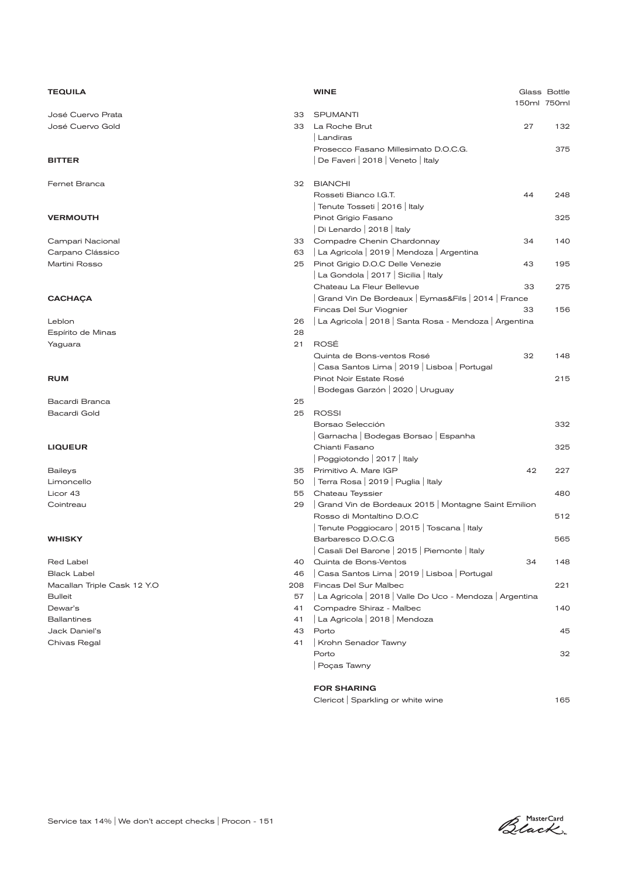| <b>TEQUILA</b>              |          | <b>WINE</b>                                                   |    | Glass Bottle<br>150ml 750ml |
|-----------------------------|----------|---------------------------------------------------------------|----|-----------------------------|
| José Cuervo Prata           | 33       | <b>SPUMANTI</b>                                               |    |                             |
| José Cuervo Gold            | 33       | La Roche Brut                                                 | 27 | 132                         |
|                             |          | Landiras                                                      |    |                             |
|                             |          | Prosecco Fasano Millesimato D.O.C.G.                          |    | 375                         |
| <b>BITTER</b>               |          | De Faveri   2018   Veneto   Italy                             |    |                             |
|                             |          |                                                               |    |                             |
| Fernet Branca               | 32       | <b>BIANCHI</b>                                                |    |                             |
|                             |          | Rosseti Bianco I.G.T.                                         | 44 | 248                         |
|                             |          | Tenute Tosseti   2016   Italy                                 |    |                             |
| <b>VERMOUTH</b>             |          | Pinot Grigio Fasano                                           |    | 325                         |
|                             |          | Di Lenardo   2018   Italy                                     |    |                             |
| Campari Nacional            | 33       | Compadre Chenin Chardonnay                                    | 34 | 140                         |
| Carpano Clássico            | 63       | La Agricola   2019   Mendoza   Argentina                      |    |                             |
| Martini Rosso               | 25       | Pinot Grigio D.O.C Delle Venezie                              | 43 | 195                         |
|                             |          | La Gondola   2017   Sicilia   Italy                           |    |                             |
|                             |          | Chateau La Fleur Bellevue                                     | 33 | 275                         |
| <b>CACHAÇA</b>              |          | Grand Vin De Bordeaux   Eymas&Fils   2014   France            |    |                             |
|                             |          | Fincas Del Sur Viognier                                       | 33 | 156                         |
| Leblon                      | 26       | La Agricola   2018   Santa Rosa - Mendoza   Argentina         |    |                             |
| Espírito de Minas           | 28       |                                                               |    |                             |
| Yaguara                     | 21       | ROSÉ                                                          |    |                             |
|                             |          | Quinta de Bons-ventos Rosé                                    | 32 | 148                         |
|                             |          | Casa Santos Lima   2019   Lisboa   Portugal                   |    |                             |
| <b>RUM</b>                  |          | Pinot Noir Estate Rosé                                        |    | 215                         |
|                             |          | Bodegas Garzón   2020   Uruguay                               |    |                             |
| Bacardi Branca              | 25       |                                                               |    |                             |
| <b>Bacardi Gold</b>         | 25       | <b>ROSSI</b>                                                  |    |                             |
|                             |          | Borsao Selección                                              |    | 332                         |
|                             |          | Garnacha   Bodegas Borsao   Espanha                           |    |                             |
| <b>LIQUEUR</b>              |          | Chianti Fasano                                                |    | 325                         |
|                             |          | Poggiotondo   2017   Italy                                    |    |                             |
| <b>Baileys</b>              | 35       | Primitivo A. Mare IGP<br>  Terra Rosa   2019   Puglia   Italy | 42 | 227                         |
| Limoncello<br>Licor 43      | 50       | Chateau Teyssier                                              |    | 480                         |
|                             | 55<br>29 | Grand Vin de Bordeaux 2015   Montagne Saint Emilion           |    |                             |
| Cointreau                   |          | Rosso di Montaltino D.O.C                                     |    | 512                         |
|                             |          | Tenute Poggiocaro   2015   Toscana   Italy                    |    |                             |
| <b>WHISKY</b>               |          | Barbaresco D.O.C.G                                            |    | 565                         |
|                             |          | Casali Del Barone   2015   Piemonte   Italy                   |    |                             |
| Red Label                   | 40       | Quinta de Bons-Ventos                                         | 34 | 148                         |
| <b>Black Label</b>          | 46       | Casa Santos Lima   2019   Lisboa   Portugal                   |    |                             |
| Macallan Triple Cask 12 Y.O | 208      | Fincas Del Sur Malbec                                         |    | 221                         |
| <b>Bulleit</b>              | 57       | La Agricola   2018   Valle Do Uco - Mendoza   Argentina       |    |                             |
| Dewar's                     | 41       | Compadre Shiraz - Malbec                                      |    | 140                         |
| <b>Ballantines</b>          | 41       | La Agricola   2018   Mendoza                                  |    |                             |
| Jack Daniel's               | 43       | Porto                                                         |    | 45                          |
| Chivas Regal                | 41       | Krohn Senador Tawny                                           |    |                             |
|                             |          | Porto                                                         |    | 32                          |
|                             |          | Poças Tawny                                                   |    |                             |
|                             |          | <b>FOR SHARING</b>                                            |    |                             |

| Clericot Sparkling or white wine | 165 |
|----------------------------------|-----|
|                                  |     |